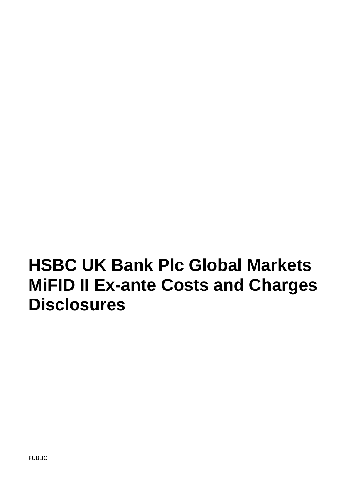# **HSBC UK Bank Plc Global Markets MiFID II Ex-ante Costs and Charges Disclosures**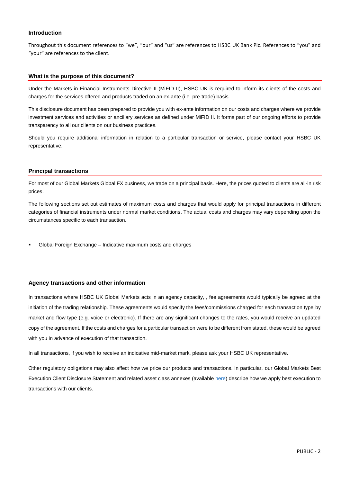#### **Introduction**

Throughout this document references to "we", "our" and "us" are references to HSBC UK Bank Plc. References to "you" and "your" are references to the client.

#### **What is the purpose of this document?**

Under the Markets in Financial Instruments Directive II (MiFID II), HSBC UK is required to inform its clients of the costs and charges for the services offered and products traded on an ex-ante (i.e. pre-trade) basis.

This disclosure document has been prepared to provide you with ex-ante information on our costs and charges where we provide investment services and activities or ancillary services as defined under MiFID II. It forms part of our ongoing efforts to provide transparency to all our clients on our business practices.

Should you require additional information in relation to a particular transaction or service, please contact your HSBC UK representative.

#### **Principal transactions**

For most of our Global Markets Global FX business, we trade on a principal basis. Here, the prices quoted to clients are all-in risk prices.

The following sections set out estimates of maximum costs and charges that would apply for principal transactions in different categories of financial instruments under normal market conditions. The actual costs and charges may vary depending upon the circumstances specific to each transaction.

Global Foreign Exchange – [Indicative maximum costs and charges](#page-2-0)

## **Agency transactions and other information**

In transactions where HSBC UK Global Markets acts in an agency capacity, , fee agreements would typically be agreed at the initiation of the trading relationship. These agreements would specify the fees/commissions charged for each transaction type by market and flow type (e.g. voice or electronic). If there are any significant changes to the rates, you would receive an updated copy of the agreement. If the costs and charges for a particular transaction were to be different from stated, these would be agreed with you in advance of execution of that transaction.

In all transactions, if you wish to receive an indicative mid-market mark, please ask your HSBC UK representative.

Other regulatory obligations may also affect how we price our products and transactions. In particular, our Global Markets Best Execution Client Disclosure Statement and related asset class annexes (available [here\)](https://www.hsbcnet.com/gbm/bestexecution) describe how we apply best execution to transactions with our clients.